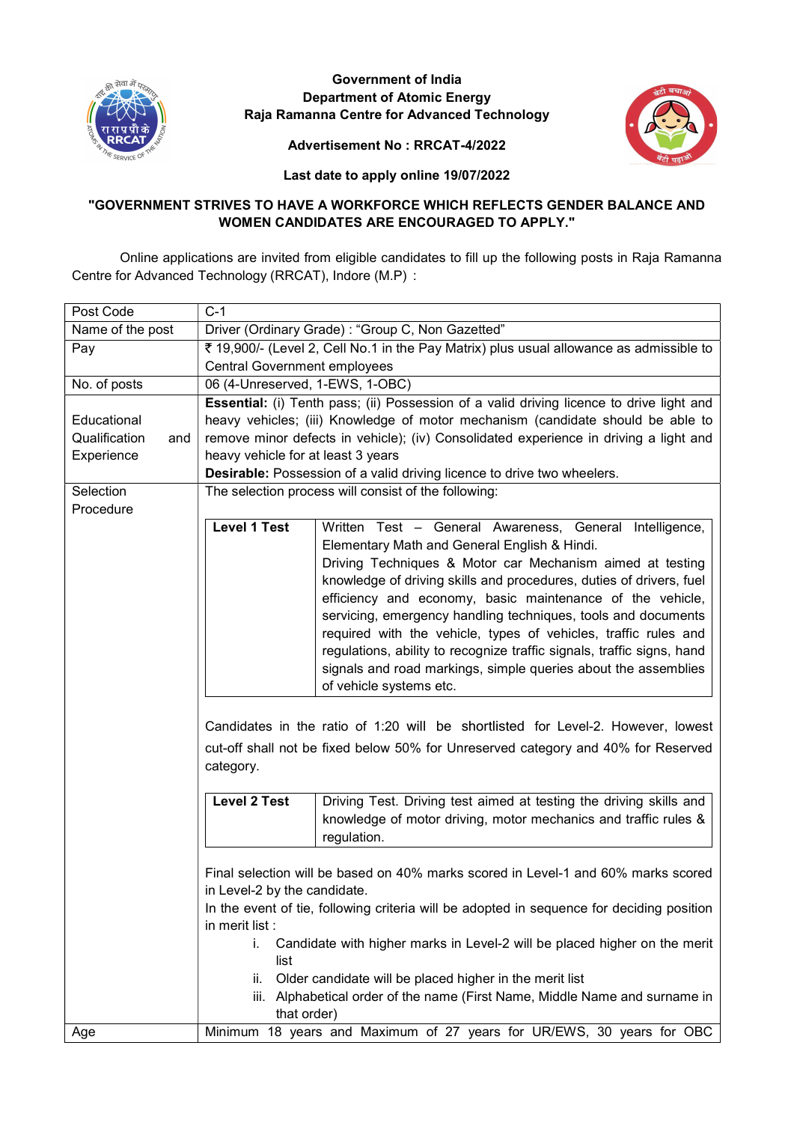

# Government of India Department of Atomic Energy Raja Ramanna Centre for Advanced Technology



# Advertisement No : RRCAT-4/2022

Last date to apply online 19/07/2022

# "GOVERNMENT STRIVES TO HAVE A WORKFORCE WHICH REFLECTS GENDER BALANCE AND WOMEN CANDIDATES ARE ENCOURAGED TO APPLY."

Online applications are invited from eligible candidates to fill up the following posts in Raja Ramanna Centre for Advanced Technology (RRCAT), Indore (M.P) :

| Post Code            | $C-1$                                                                                     |                                                                                          |  |
|----------------------|-------------------------------------------------------------------------------------------|------------------------------------------------------------------------------------------|--|
| Name of the post     | Driver (Ordinary Grade) : "Group C, Non Gazetted"                                         |                                                                                          |  |
| Pay                  | ₹ 19,900/- (Level 2, Cell No.1 in the Pay Matrix) plus usual allowance as admissible to   |                                                                                          |  |
|                      | <b>Central Government employees</b>                                                       |                                                                                          |  |
| No. of posts         | 06 (4-Unreserved, 1-EWS, 1-OBC)                                                           |                                                                                          |  |
|                      |                                                                                           | Essential: (i) Tenth pass; (ii) Possession of a valid driving licence to drive light and |  |
| Educational          | heavy vehicles; (iii) Knowledge of motor mechanism (candidate should be able to           |                                                                                          |  |
| Qualification<br>and |                                                                                           | remove minor defects in vehicle); (iv) Consolidated experience in driving a light and    |  |
| Experience           | heavy vehicle for at least 3 years                                                        |                                                                                          |  |
|                      | Desirable: Possession of a valid driving licence to drive two wheelers.                   |                                                                                          |  |
| Selection            |                                                                                           | The selection process will consist of the following:                                     |  |
| Procedure            |                                                                                           |                                                                                          |  |
|                      | <b>Level 1 Test</b>                                                                       | Written Test - General Awareness, General Intelligence,                                  |  |
|                      |                                                                                           | Elementary Math and General English & Hindi.                                             |  |
|                      |                                                                                           | Driving Techniques & Motor car Mechanism aimed at testing                                |  |
|                      |                                                                                           | knowledge of driving skills and procedures, duties of drivers, fuel                      |  |
|                      |                                                                                           | efficiency and economy, basic maintenance of the vehicle,                                |  |
|                      |                                                                                           | servicing, emergency handling techniques, tools and documents                            |  |
|                      |                                                                                           | required with the vehicle, types of vehicles, traffic rules and                          |  |
|                      |                                                                                           | regulations, ability to recognize traffic signals, traffic signs, hand                   |  |
|                      |                                                                                           | signals and road markings, simple queries about the assemblies                           |  |
|                      |                                                                                           | of vehicle systems etc.                                                                  |  |
|                      |                                                                                           |                                                                                          |  |
|                      |                                                                                           | Candidates in the ratio of 1:20 will be shortlisted for Level-2. However, lowest         |  |
|                      |                                                                                           | cut-off shall not be fixed below 50% for Unreserved category and 40% for Reserved        |  |
|                      | category.                                                                                 |                                                                                          |  |
|                      |                                                                                           |                                                                                          |  |
|                      | <b>Level 2 Test</b>                                                                       | Driving Test. Driving test aimed at testing the driving skills and                       |  |
|                      |                                                                                           | knowledge of motor driving, motor mechanics and traffic rules &                          |  |
|                      |                                                                                           | regulation.                                                                              |  |
|                      |                                                                                           |                                                                                          |  |
|                      | Final selection will be based on 40% marks scored in Level-1 and 60% marks scored         |                                                                                          |  |
|                      | in Level-2 by the candidate.                                                              |                                                                                          |  |
|                      | In the event of tie, following criteria will be adopted in sequence for deciding position |                                                                                          |  |
|                      | in merit list :                                                                           |                                                                                          |  |
|                      | Candidate with higher marks in Level-2 will be placed higher on the merit<br>i.           |                                                                                          |  |
|                      | list                                                                                      |                                                                                          |  |
|                      | Older candidate will be placed higher in the merit list<br>II.                            |                                                                                          |  |
|                      | iii. Alphabetical order of the name (First Name, Middle Name and surname in               |                                                                                          |  |
|                      | that order)                                                                               |                                                                                          |  |
| Age                  | Minimum 18 years and Maximum of 27 years for UR/EWS, 30 years for OBC                     |                                                                                          |  |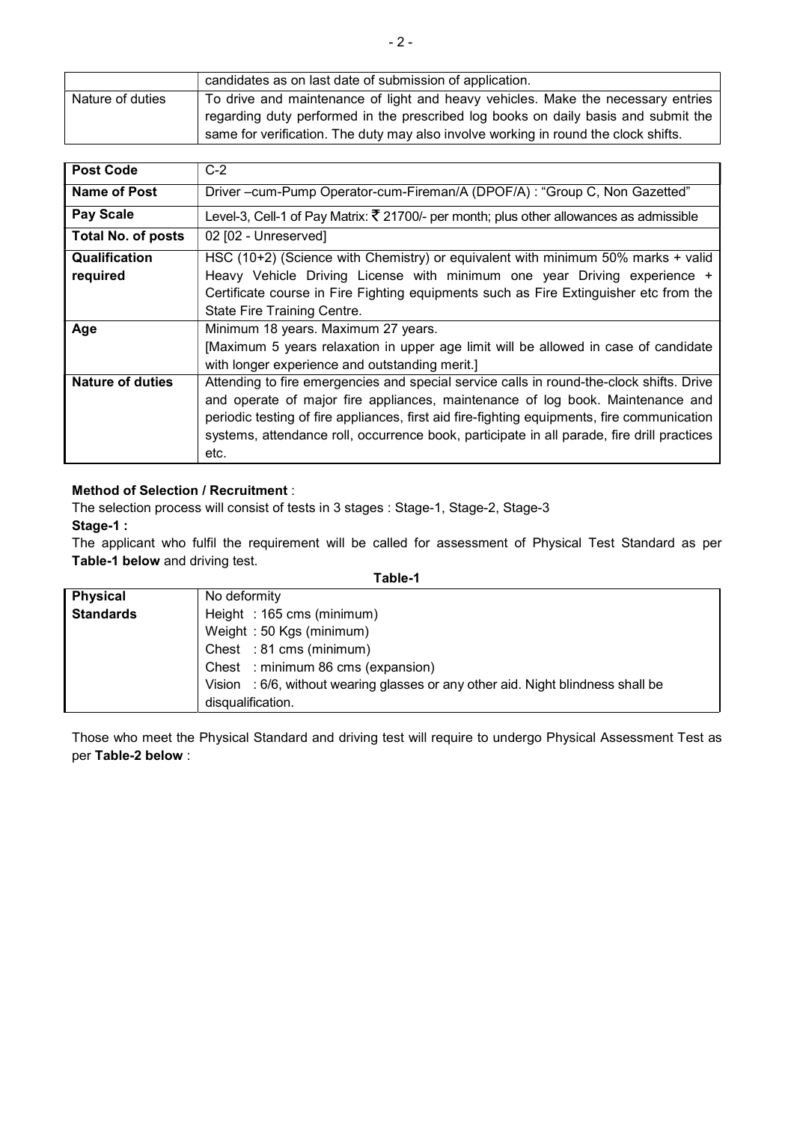|                  | candidates as on last date of submission of application.                            |
|------------------|-------------------------------------------------------------------------------------|
| Nature of duties | To drive and maintenance of light and heavy vehicles. Make the necessary entries    |
|                  | regarding duty performed in the prescribed log books on daily basis and submit the  |
|                  | same for verification. The duty may also involve working in round the clock shifts. |

| <b>Post Code</b>          | $C-2$                                                                                                                                                                                                                                                                                                                                                                           |  |  |
|---------------------------|---------------------------------------------------------------------------------------------------------------------------------------------------------------------------------------------------------------------------------------------------------------------------------------------------------------------------------------------------------------------------------|--|--|
| Name of Post              | Driver -cum-Pump Operator-cum-Fireman/A (DPOF/A) : "Group C, Non Gazetted"                                                                                                                                                                                                                                                                                                      |  |  |
| <b>Pay Scale</b>          | Level-3, Cell-1 of Pay Matrix: $\bar{\tau}$ 21700/- per month; plus other allowances as admissible                                                                                                                                                                                                                                                                              |  |  |
| <b>Total No. of posts</b> | 02 [02 - Unreserved]                                                                                                                                                                                                                                                                                                                                                            |  |  |
| Qualification<br>required | HSC (10+2) (Science with Chemistry) or equivalent with minimum 50% marks + valid<br>Heavy Vehicle Driving License with minimum one year Driving experience +<br>Certificate course in Fire Fighting equipments such as Fire Extinguisher etc from the<br>State Fire Training Centre.                                                                                            |  |  |
| Age                       | Minimum 18 years. Maximum 27 years.<br>[Maximum 5 years relaxation in upper age limit will be allowed in case of candidate<br>with longer experience and outstanding merit.]                                                                                                                                                                                                    |  |  |
| Nature of duties          | Attending to fire emergencies and special service calls in round-the-clock shifts. Drive<br>and operate of major fire appliances, maintenance of log book. Maintenance and<br>periodic testing of fire appliances, first aid fire-fighting equipments, fire communication<br>systems, attendance roll, occurrence book, participate in all parade, fire drill practices<br>etc. |  |  |

# Method of Selection / Recruitment :

The selection process will consist of tests in 3 stages : Stage-1, Stage-2, Stage-3

Stage-1 :

The applicant who fulfil the requirement will be called for assessment of Physical Test Standard as per Table-1 below and driving test.

| ı.<br>I<br>10 |  |
|---------------|--|
|---------------|--|

| <b>Physical</b>  | No deformity                                                                     |  |  |
|------------------|----------------------------------------------------------------------------------|--|--|
| <b>Standards</b> | Height: 165 cms (minimum)                                                        |  |  |
|                  | Weight: 50 Kgs (minimum)                                                         |  |  |
|                  | Chest : 81 cms (minimum)                                                         |  |  |
|                  | Chest : minimum 86 cms (expansion)                                               |  |  |
|                  | Vision : 6/6, without wearing glasses or any other aid. Night blindness shall be |  |  |
|                  | disqualification.                                                                |  |  |

Those who meet the Physical Standard and driving test will require to undergo Physical Assessment Test as per Table-2 below :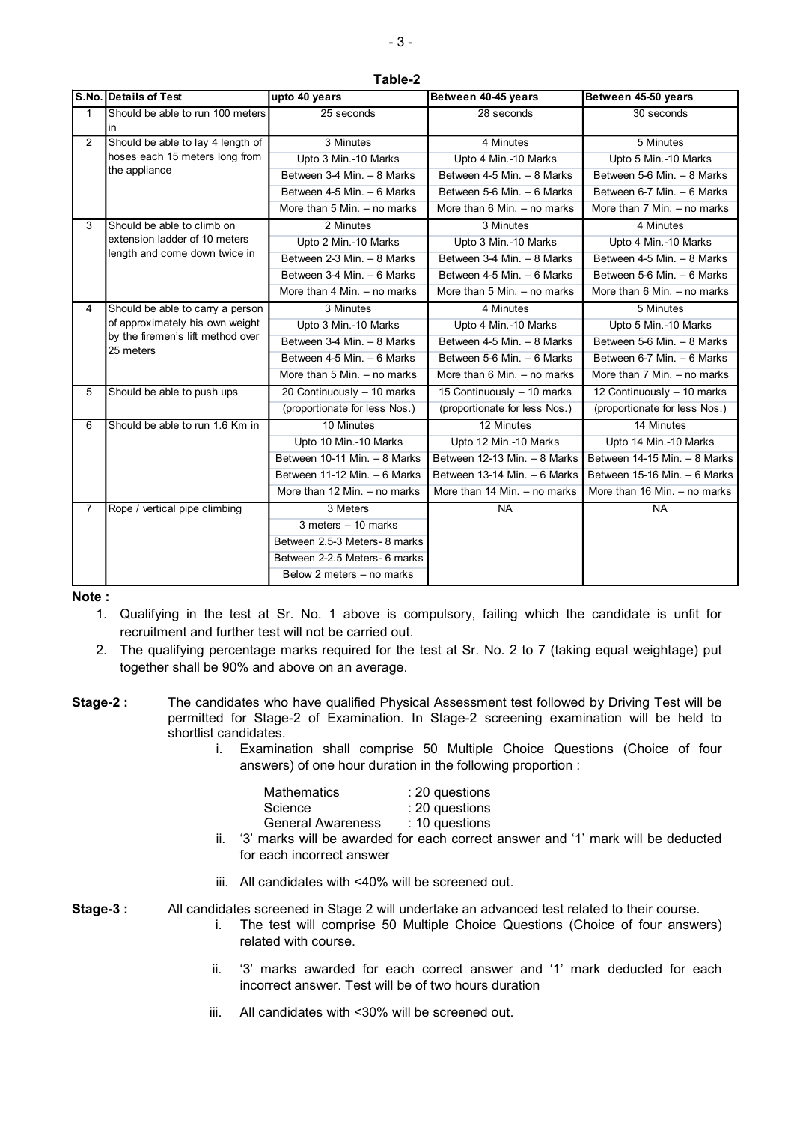|                | S.No. Details of Test                          | upto 40 years                 | Between 40-45 years             | Between 45-50 years           |
|----------------|------------------------------------------------|-------------------------------|---------------------------------|-------------------------------|
| $\mathbf{1}$   | Should be able to run 100 meters<br>in         | 25 seconds                    | 28 seconds                      | 30 seconds                    |
| $\overline{2}$ | Should be able to lay 4 length of              | 3 Minutes                     | 4 Minutes                       | 5 Minutes                     |
|                | hoses each 15 meters long from                 | Upto 3 Min -10 Marks          | Upto 4 Min.-10 Marks            | Upto 5 Min.-10 Marks          |
|                | the appliance                                  | Between 3-4 Min. - 8 Marks    | Between 4-5 Min. - 8 Marks      | Between 5-6 Min. - 8 Marks    |
|                |                                                | Between 4-5 Min. - 6 Marks    | Between 5-6 Min. - 6 Marks      | Between 6-7 Min. - 6 Marks    |
|                |                                                | More than 5 Min. - no marks   | More than 6 Min. - no marks     | More than 7 Min. - no marks   |
| 3              | Should be able to climb on                     | 2 Minutes                     | 3 Minutes                       | 4 Minutes                     |
|                | extension ladder of 10 meters                  | Upto 2 Min.-10 Marks          | Upto 3 Min.-10 Marks            | Upto 4 Min.-10 Marks          |
|                | length and come down twice in                  | Between 2-3 Min. - 8 Marks    | Between 3-4 Min. - 8 Marks      | Between 4-5 Min. - 8 Marks    |
|                |                                                | Between 3-4 Min. - 6 Marks    | Between 4-5 Min. - 6 Marks      | Between 5-6 Min. - 6 Marks    |
|                |                                                | More than 4 Min. - no marks   | More than $5$ Min. $-$ no marks | More than 6 Min. - no marks   |
| 4              | Should be able to carry a person               | 3 Minutes                     | 4 Minutes                       | 5 Minutes                     |
|                | of approximately his own weight                | Upto 3 Min.-10 Marks          | Upto 4 Min.-10 Marks            | Upto 5 Min.-10 Marks          |
|                | by the firemen's lift method over<br>25 meters | Between 3-4 Min. - 8 Marks    | Between 4-5 Min. - 8 Marks      | Between 5-6 Min. - 8 Marks    |
|                |                                                | Between 4-5 Min. - 6 Marks    | Between 5-6 Min. - 6 Marks      | Between 6-7 Min. - 6 Marks    |
|                |                                                | More than 5 Min. - no marks   | More than $6$ Min. $-$ no marks | More than 7 Min. - no marks   |
| 5              | Should be able to push ups                     | 20 Continuously - 10 marks    | 15 Continuously - 10 marks      | 12 Continuously - 10 marks    |
|                |                                                | (proportionate for less Nos.) | (proportionate for less Nos.)   | (proportionate for less Nos.) |
| 6              | Should be able to run 1.6 Km in                | 10 Minutes                    | 12 Minutes                      | 14 Minutes                    |
|                |                                                | Upto 10 Min.-10 Marks         | Upto 12 Min.-10 Marks           | Upto 14 Min.-10 Marks         |
|                |                                                | Between 10-11 Min. - 8 Marks  | Between $12-13$ Min. $-8$ Marks | Between 14-15 Min. - 8 Marks  |
|                |                                                | Between 11-12 Min. - 6 Marks  | Between 13-14 Min. - 6 Marks    | Between 15-16 Min. - 6 Marks  |
|                |                                                | More than 12 Min. - no marks  | More than 14 Min. - no marks    | More than 16 Min. - no marks  |
| 7              | Rope / vertical pipe climbing                  | 3 Meters                      | <b>NA</b>                       | <b>NA</b>                     |
|                |                                                | $3$ meters $-10$ marks        |                                 |                               |
|                |                                                | Between 2.5-3 Meters- 8 marks |                                 |                               |
|                |                                                | Between 2-2.5 Meters- 6 marks |                                 |                               |
|                |                                                | Below 2 meters - no marks     |                                 |                               |

#### Table-2

#### Note :

- 1. Qualifying in the test at Sr. No. 1 above is compulsory, failing which the candidate is unfit for recruitment and further test will not be carried out.
- 2. The qualifying percentage marks required for the test at Sr. No. 2 to 7 (taking equal weightage) put together shall be 90% and above on an average.
- Stage-2 : The candidates who have qualified Physical Assessment test followed by Driving Test will be permitted for Stage-2 of Examination. In Stage-2 screening examination will be held to shortlist candidates.
	- i. Examination shall comprise 50 Multiple Choice Questions (Choice of four answers) of one hour duration in the following proportion :

| <b>Mathematics</b>       | : 20 questions   |
|--------------------------|------------------|
| Science                  | : 20 questions   |
| <b>General Awareness</b> | $: 10$ questions |
|                          |                  |

- ii. '3' marks will be awarded for each correct answer and '1' mark will be deducted for each incorrect answer
- iii. All candidates with <40% will be screened out.

Stage-3 : All candidates screened in Stage 2 will undertake an advanced test related to their course.

- i. The test will comprise 50 Multiple Choice Questions (Choice of four answers) related with course.
- ii. '3' marks awarded for each correct answer and '1' mark deducted for each incorrect answer. Test will be of two hours duration
- iii. All candidates with <30% will be screened out.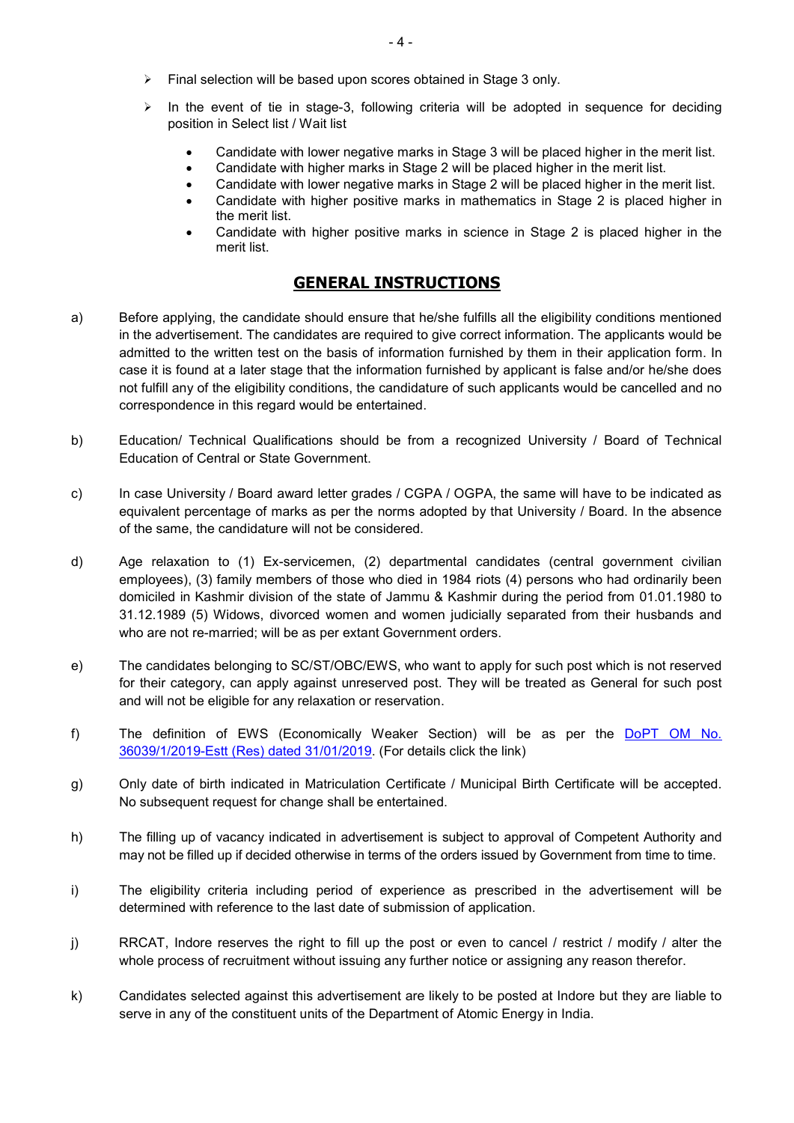- Final selection will be based upon scores obtained in Stage 3 only.
- $\triangleright$  In the event of tie in stage-3, following criteria will be adopted in sequence for deciding position in Select list / Wait list
	- Candidate with lower negative marks in Stage 3 will be placed higher in the merit list.
	- Candidate with higher marks in Stage 2 will be placed higher in the merit list.
	- Candidate with lower negative marks in Stage 2 will be placed higher in the merit list.
	- Candidate with higher positive marks in mathematics in Stage 2 is placed higher in the merit list.
	- Candidate with higher positive marks in science in Stage 2 is placed higher in the merit list.

# GENERAL INSTRUCTIONS

- a) Before applying, the candidate should ensure that he/she fulfills all the eligibility conditions mentioned in the advertisement. The candidates are required to give correct information. The applicants would be admitted to the written test on the basis of information furnished by them in their application form. In case it is found at a later stage that the information furnished by applicant is false and/or he/she does not fulfill any of the eligibility conditions, the candidature of such applicants would be cancelled and no correspondence in this regard would be entertained.
- b) Education/ Technical Qualifications should be from a recognized University / Board of Technical Education of Central or State Government.
- c) In case University / Board award letter grades / CGPA / OGPA, the same will have to be indicated as equivalent percentage of marks as per the norms adopted by that University / Board. In the absence of the same, the candidature will not be considered.
- d) Age relaxation to (1) Ex-servicemen, (2) departmental candidates (central government civilian employees), (3) family members of those who died in 1984 riots (4) persons who had ordinarily been domiciled in Kashmir division of the state of Jammu & Kashmir during the period from 01.01.1980 to 31.12.1989 (5) Widows, divorced women and women judicially separated from their husbands and who are not re-married; will be as per extant Government orders.
- e) The candidates belonging to SC/ST/OBC/EWS, who want to apply for such post which is not reserved for their category, can apply against unreserved post. They will be treated as General for such post and will not be eligible for any relaxation or reservation.
- f) The definition of EWS (Economically Weaker Section) will be as per the DoPT OM No. 36039/1/2019-Estt (Res) dated 31/01/2019. (For details click the link)
- g) Only date of birth indicated in Matriculation Certificate / Municipal Birth Certificate will be accepted. No subsequent request for change shall be entertained.
- h) The filling up of vacancy indicated in advertisement is subject to approval of Competent Authority and may not be filled up if decided otherwise in terms of the orders issued by Government from time to time.
- i) The eligibility criteria including period of experience as prescribed in the advertisement will be determined with reference to the last date of submission of application.
- j) RRCAT, Indore reserves the right to fill up the post or even to cancel / restrict / modify / alter the whole process of recruitment without issuing any further notice or assigning any reason therefor.
- k) Candidates selected against this advertisement are likely to be posted at Indore but they are liable to serve in any of the constituent units of the Department of Atomic Energy in India.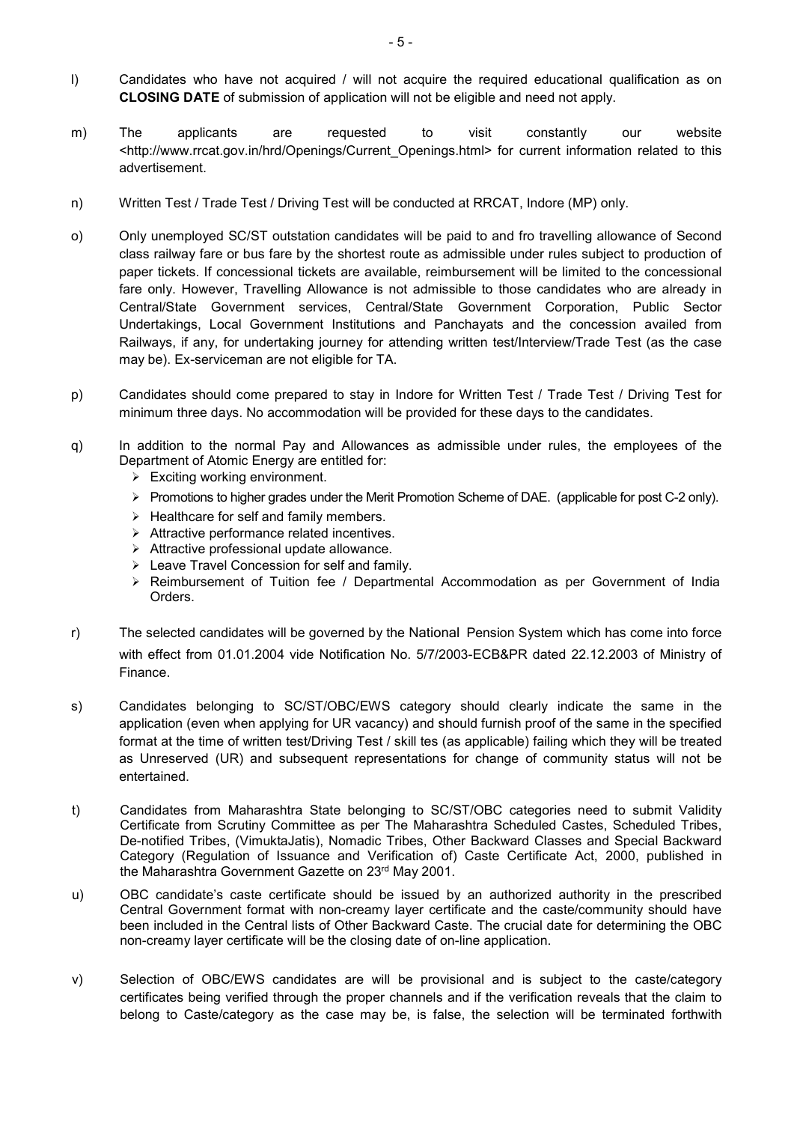- l) Candidates who have not acquired / will not acquire the required educational qualification as on CLOSING DATE of submission of application will not be eligible and need not apply.
- m) The applicants are requested to visit constantly our website <http://www.rrcat.gov.in/hrd/Openings/Current\_Openings.html> for current information related to this advertisement.
- n) Written Test / Trade Test / Driving Test will be conducted at RRCAT, Indore (MP) only.
- o) Only unemployed SC/ST outstation candidates will be paid to and fro travelling allowance of Second class railway fare or bus fare by the shortest route as admissible under rules subject to production of paper tickets. If concessional tickets are available, reimbursement will be limited to the concessional fare only. However, Travelling Allowance is not admissible to those candidates who are already in Central/State Government services, Central/State Government Corporation, Public Sector Undertakings, Local Government Institutions and Panchayats and the concession availed from Railways, if any, for undertaking journey for attending written test/Interview/Trade Test (as the case may be). Ex-serviceman are not eligible for TA.
- p) Candidates should come prepared to stay in Indore for Written Test / Trade Test / Driving Test for minimum three days. No accommodation will be provided for these days to the candidates.
- q) In addition to the normal Pay and Allowances as admissible under rules, the employees of the Department of Atomic Energy are entitled for:
	- Exciting working environment.
	- $\triangleright$  Promotions to higher grades under the Merit Promotion Scheme of DAE. (applicable for post C-2 only).
	- $\triangleright$  Healthcare for self and family members.
	- $\triangleright$  Attractive performance related incentives.
	- $\triangleright$  Attractive professional update allowance.
	- Leave Travel Concession for self and family.
	- $\triangleright$  Reimbursement of Tuition fee / Departmental Accommodation as per Government of India Orders.
- r) The selected candidates will be governed by the National Pension System which has come into force with effect from 01.01.2004 vide Notification No. 5/7/2003-ECB&PR dated 22.12.2003 of Ministry of Finance.
- s) Candidates belonging to SC/ST/OBC/EWS category should clearly indicate the same in the application (even when applying for UR vacancy) and should furnish proof of the same in the specified format at the time of written test/Driving Test / skill tes (as applicable) failing which they will be treated as Unreserved (UR) and subsequent representations for change of community status will not be entertained.
- t) Candidates from Maharashtra State belonging to SC/ST/OBC categories need to submit Validity Certificate from Scrutiny Committee as per The Maharashtra Scheduled Castes, Scheduled Tribes, De-notified Tribes, (VimuktaJatis), Nomadic Tribes, Other Backward Classes and Special Backward Category (Regulation of Issuance and Verification of) Caste Certificate Act, 2000, published in the Maharashtra Government Gazette on 23rd May 2001.
- u) OBC candidate's caste certificate should be issued by an authorized authority in the prescribed Central Government format with non-creamy layer certificate and the caste/community should have been included in the Central lists of Other Backward Caste. The crucial date for determining the OBC non-creamy layer certificate will be the closing date of on-line application.
- v) Selection of OBC/EWS candidates are will be provisional and is subject to the caste/category certificates being verified through the proper channels and if the verification reveals that the claim to belong to Caste/category as the case may be, is false, the selection will be terminated forthwith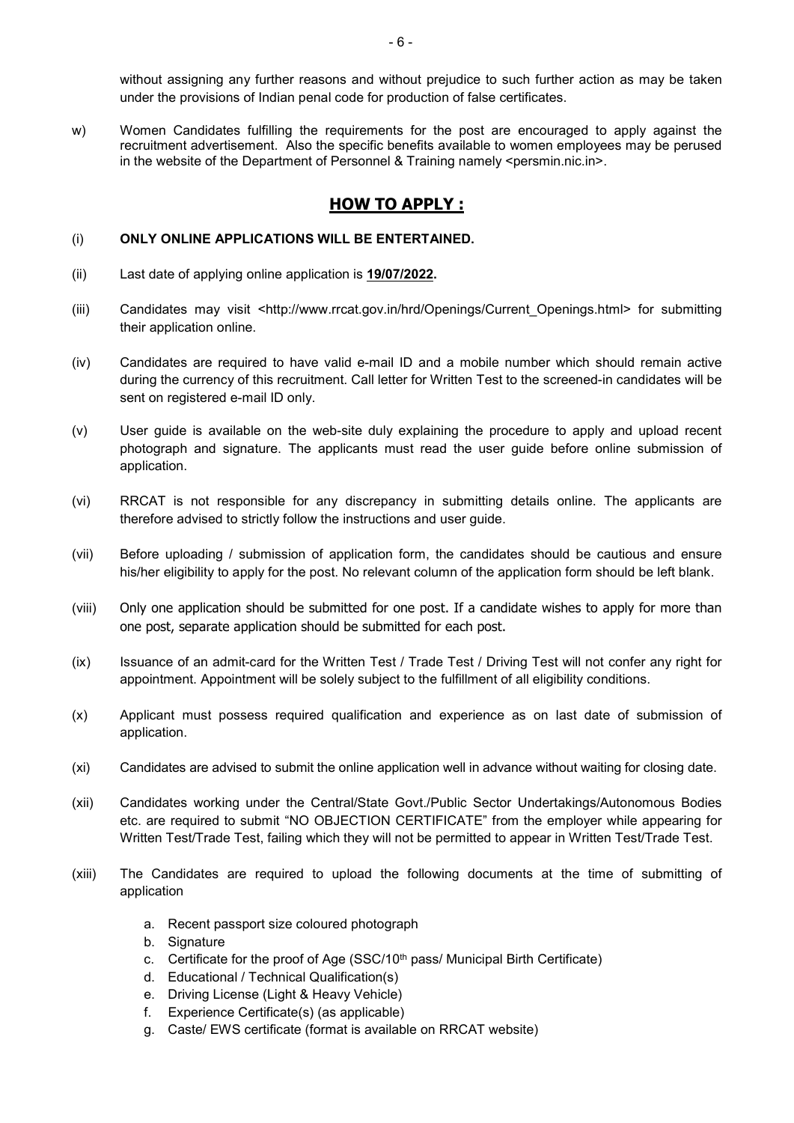without assigning any further reasons and without prejudice to such further action as may be taken under the provisions of Indian penal code for production of false certificates.

w) Women Candidates fulfilling the requirements for the post are encouraged to apply against the recruitment advertisement. Also the specific benefits available to women employees may be perused in the website of the Department of Personnel & Training namely <persmin.nic.in>.

# HOW TO APPLY :

#### (i) ONLY ONLINE APPLICATIONS WILL BE ENTERTAINED.

- (ii) Last date of applying online application is 19/07/2022.
- (iii) Candidates may visit <http://www.rrcat.gov.in/hrd/Openings/Current\_Openings.html> for submitting their application online.
- (iv) Candidates are required to have valid e-mail ID and a mobile number which should remain active during the currency of this recruitment. Call letter for Written Test to the screened-in candidates will be sent on registered e-mail ID only.
- (v) User guide is available on the web-site duly explaining the procedure to apply and upload recent photograph and signature. The applicants must read the user guide before online submission of application.
- (vi) RRCAT is not responsible for any discrepancy in submitting details online. The applicants are therefore advised to strictly follow the instructions and user guide.
- (vii) Before uploading / submission of application form, the candidates should be cautious and ensure his/her eligibility to apply for the post. No relevant column of the application form should be left blank.
- (viii) Only one application should be submitted for one post. If a candidate wishes to apply for more than one post, separate application should be submitted for each post.
- (ix) Issuance of an admit-card for the Written Test / Trade Test / Driving Test will not confer any right for appointment. Appointment will be solely subject to the fulfillment of all eligibility conditions.
- (x) Applicant must possess required qualification and experience as on last date of submission of application.
- (xi) Candidates are advised to submit the online application well in advance without waiting for closing date.
- (xii) Candidates working under the Central/State Govt./Public Sector Undertakings/Autonomous Bodies etc. are required to submit "NO OBJECTION CERTIFICATE" from the employer while appearing for Written Test/Trade Test, failing which they will not be permitted to appear in Written Test/Trade Test.
- (xiii) The Candidates are required to upload the following documents at the time of submitting of application
	- a. Recent passport size coloured photograph
	- b. Signature
	- c. Certificate for the proof of Age (SSC/10<sup>th</sup> pass/ Municipal Birth Certificate)
	- d. Educational / Technical Qualification(s)
	- e. Driving License (Light & Heavy Vehicle)
	- f. Experience Certificate(s) (as applicable)
	- g. Caste/ EWS certificate (format is available on RRCAT website)